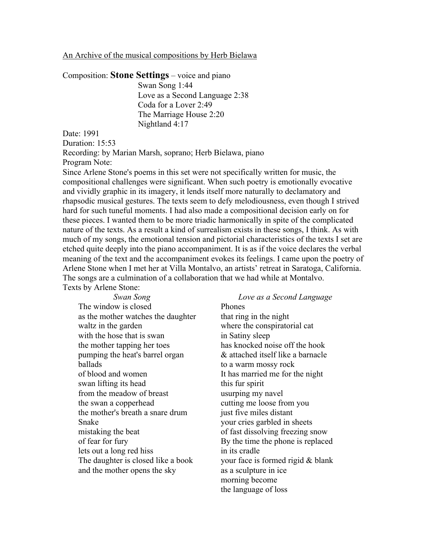## An Archive of the musical compositions by Herb Bielawa

Composition: **Stone Settings** – voice and piano

Swan Song 1:44 Love as a Second Language 2:38 Coda for a Lover 2:49 The Marriage House 2:20 Nightland 4:17

Date: 1991

Duration: 15:53

Recording: by Marian Marsh, soprano; Herb Bielawa, piano Program Note:

Since Arlene Stone's poems in this set were not specifically written for music, the compositional challenges were significant. When such poetry is emotionally evocative and vividly graphic in its imagery, it lends itself more naturally to declamatory and rhapsodic musical gestures. The texts seem to defy melodiousness, even though I strived hard for such tuneful moments. I had also made a compositional decision early on for these pieces. I wanted them to be more triadic harmonically in spite of the complicated nature of the texts. As a result a kind of surrealism exists in these songs, I think. As with much of my songs, the emotional tension and pictorial characteristics of the texts I set are etched quite deeply into the piano accompaniment. It is as if the voice declares the verbal meaning of the text and the accompaniment evokes its feelings. I came upon the poetry of Arlene Stone when I met her at Villa Montalvo, an artists' retreat in Saratoga, California. The songs are a culmination of a collaboration that we had while at Montalvo. Texts by Arlene Stone:

| Swan Song                          | Love as a        |
|------------------------------------|------------------|
| The window is closed               | Phones           |
| as the mother watches the daughter | that ring in the |
| waltz in the garden                | where the con    |
| with the hose that is swan         | in Satiny sleep  |
| the mother tapping her toes        | has knocked n    |
| pumping the heat's barrel organ    | & attached its   |
| ballads                            | to a warm mo:    |
| of blood and women                 | It has married   |
| swan lifting its head              | this fur spirit  |
| from the meadow of breast          | usurping my r    |
| the swan a copperhead              | cutting me loc   |
| the mother's breath a snare drum   | just five miles  |
| Snake                              | your cries garl  |
| mistaking the beat                 | of fast dissolv  |
| of fear for fury                   | By the time th   |
| lets out a long red hiss           | in its cradle    |
| The daughter is closed like a book | your face is fo  |
| and the mother opens the sky       | as a sculpture   |
|                                    |                  |

## *Love as a Second Language*

e night spiratorial cat in Satiny sleep oise off the hook elf like a barnacle ssy rock me for the night 1avel ose from you distant bled in sheets ing freezing snow e phone is replaced  $\omega$  formed rigid  $\&$  blank in ice morning become the language of loss